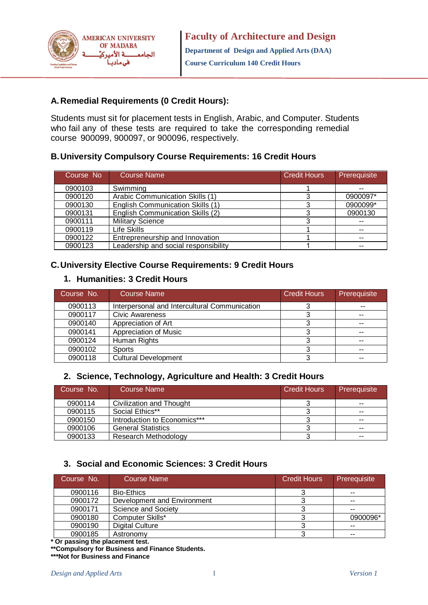

#### **A.Remedial Requirements (0 Credit Hours):**

Students must sit for placement tests in English, Arabic, and Computer. Students who fail any of these tests are required to take the corresponding remedial course 900099, 900097, or 900096, respectively.

#### **B.University Compulsory Course Requirements: 16 Credit Hours**

| Course No | <b>Course Name</b>                      | <b>Credit Hours</b> | Prerequisite |
|-----------|-----------------------------------------|---------------------|--------------|
| 0900103   | Swimming                                |                     |              |
| 0900120   | Arabic Communication Skills (1)         |                     | 0900097*     |
| 0900130   | <b>English Communication Skills (1)</b> |                     | 0900099*     |
| 0900131   | English Communication Skills (2)        |                     | 0900130      |
| 0900111   | <b>Military Science</b>                 |                     |              |
| 0900119   | Life Skills                             |                     |              |
| 0900122   | Entrepreneurship and Innovation         |                     |              |
| 0900123   | Leadership and social responsibility    |                     |              |

#### **C.University Elective Course Requirements: 9 Credit Hours**

### **1. Humanities: 3 Credit Hours**

| Course No. | <b>Course Name</b>                            | <b>Credit Hours</b> | Prerequisite |
|------------|-----------------------------------------------|---------------------|--------------|
| 0900113    | Interpersonal and Intercultural Communication |                     |              |
| 0900117    | Civic Awareness                               |                     |              |
| 0900140    | Appreciation of Art                           |                     | $-$          |
| 0900141    | Appreciation of Music                         |                     | $-$          |
| 0900124    | Human Rights                                  |                     |              |
| 0900102    | <b>Sports</b>                                 |                     | $- -$        |
| 0900118    | <b>Cultural Development</b>                   |                     | --           |

#### **2. Science, Technology, Agriculture and Health: 3 Credit Hours**

| Course No. | Course Name                  | <b>Credit Hours</b> | Prerequisite  |
|------------|------------------------------|---------------------|---------------|
| 0900114    | Civilization and Thought     |                     | $- -$         |
| 0900115    | Social Ethics**              |                     | $\sim$ $\sim$ |
| 0900150    | Introduction to Economics*** |                     | $- -$         |
| 0900106    | <b>General Statistics</b>    |                     | $- -$         |
| 0900133    | Research Methodology         |                     | $- -$         |

#### **3. Social and Economic Sciences: 3 Credit Hours**

| Course No. | <b>Course Name</b>          | <b>Credit Hours</b> | Prerequisite |
|------------|-----------------------------|---------------------|--------------|
| 0900116    | <b>Bio-Ethics</b>           |                     | $- -$        |
| 0900172    | Development and Environment |                     | $- -$        |
| 0900171    | Science and Society         |                     | --           |
| 0900180    | Computer Skills*            |                     | 0900096*     |
| 0900190    | <b>Digital Culture</b>      |                     | $- -$        |
| 0900185    | Astronomy                   |                     | --           |

**\* Or passing the placement test.**

**\*\*Compulsory for Business and Finance Students.**

**\*\*\*Not for Business and Finance**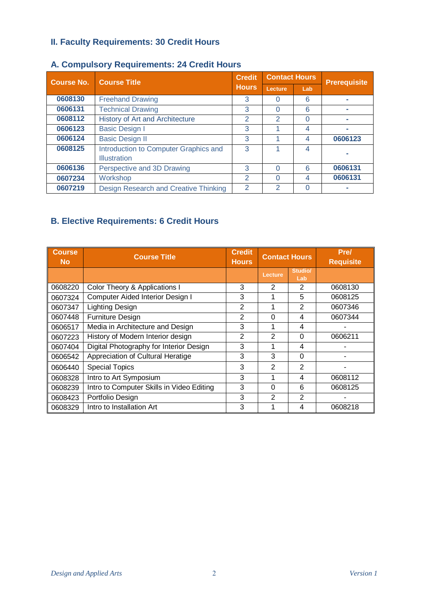## **II. Faculty Requirements: 30 Credit Hours**

| <b>Course No.</b> | <b>Course Title</b>                                          | <b>Credit</b>  | <b>Contact Hours</b> |          | <b>Prerequisite</b> |
|-------------------|--------------------------------------------------------------|----------------|----------------------|----------|---------------------|
|                   | <b>Hours</b>                                                 |                | Lecture              | Lab      |                     |
| 0608130           | <b>Freehand Drawing</b>                                      | 3              | O                    | 6        |                     |
| 0606131           | <b>Technical Drawing</b>                                     | 3              | 0                    | 6        |                     |
| 0608112           | History of Art and Architecture                              | $\overline{2}$ | $\mathcal{P}$        | $\Omega$ |                     |
| 0606123           | <b>Basic Design I</b>                                        | 3              |                      | 4        |                     |
| 0606124           | <b>Basic Design II</b>                                       | 3              |                      | 4        | 0606123             |
| 0608125           | Introduction to Computer Graphics and<br><b>Illustration</b> | 3              |                      | 4        |                     |
| 0606136           | Perspective and 3D Drawing                                   | 3              | 0                    | 6        | 0606131             |
| 0607234           | Workshop                                                     | 2              | O                    | 4        | 0606131             |
| 0607219           | Design Research and Creative Thinking                        | 2              | $\mathcal{P}$        |          |                     |

### **A. Compulsory Requirements: 24 Credit Hours**

# **B. Elective Requirements: 6 Credit Hours**

| <b>Course</b><br><b>No</b> | <b>Course Title</b>                       | <b>Credit</b><br><b>Hours</b> | <b>Contact Hours</b> |                | <b>Prel</b><br><b>Requisite</b> |
|----------------------------|-------------------------------------------|-------------------------------|----------------------|----------------|---------------------------------|
|                            |                                           |                               | Lecture              | Studio/<br>Lab |                                 |
| 0608220                    | Color Theory & Applications I             | 3                             | 2                    | 2              | 0608130                         |
| 0607324                    | Computer Aided Interior Design I          | 3                             | 1                    | 5              | 0608125                         |
| 0607347                    | Lighting Design                           | 2                             | 1                    | 2              | 0607346                         |
| 0607448                    | <b>Furniture Design</b>                   | $\overline{2}$                | $\Omega$             | 4              | 0607344                         |
| 0606517                    | Media in Architecture and Design          | 3                             | 1                    | 4              |                                 |
| 0607223                    | History of Modern Interior design         | $\overline{2}$                | $\overline{2}$       | 0              | 0606211                         |
| 0607404                    | Digital Photography for Interior Design   | 3                             | 1                    | 4              |                                 |
| 0606542                    | Appreciation of Cultural Heratige         | 3                             | 3                    | 0              |                                 |
| 0606440                    | <b>Special Topics</b>                     | 3                             | $\overline{2}$       | 2              |                                 |
| 0608328                    | Intro to Art Symposium                    | 3                             | 1                    | 4              | 0608112                         |
| 0608239                    | Intro to Computer Skills in Video Editing | 3                             | $\Omega$             | 6              | 0608125                         |
| 0608423                    | Portfolio Design                          | 3                             | 2                    | 2              |                                 |
| 0608329                    | Intro to Installation Art                 | 3                             | 1                    | 4              | 0608218                         |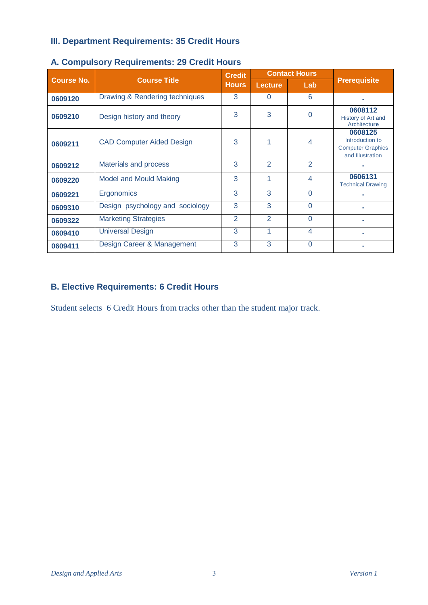## **III. Department Requirements: 35 Credit Hours**

|                   |                                  | <b>Credit</b>  |                | <b>Contact Hours</b> |                                                                            |
|-------------------|----------------------------------|----------------|----------------|----------------------|----------------------------------------------------------------------------|
| <b>Course No.</b> | <b>Course Title</b>              | <b>Hours</b>   | <b>Lecture</b> | Lab                  | <b>Prerequisite</b>                                                        |
| 0609120           | Drawing & Rendering techniques   | 3              | $\Omega$       | 6                    |                                                                            |
| 0609210           | Design history and theory        | 3              | 3              | 0                    | 0608112<br>History of Art and<br>Architecture                              |
| 0609211           | <b>CAD Computer Aided Design</b> | 3              |                | 4                    | 0608125<br>Introduction to<br><b>Computer Graphics</b><br>and Illustration |
| 0609212           | Materials and process            | 3              | $\overline{2}$ | $\overline{2}$       |                                                                            |
| 0609220           | <b>Model and Mould Making</b>    | 3              | 1              | 4                    | 0606131<br><b>Technical Drawing</b>                                        |
| 0609221           | Ergonomics                       | 3              | 3              | $\Omega$             |                                                                            |
| 0609310           | Design psychology and sociology  | 3              | 3              | $\Omega$             |                                                                            |
| 0609322           | <b>Marketing Strategies</b>      | $\overline{2}$ | $\overline{2}$ | $\Omega$             |                                                                            |
| 0609410           | <b>Universal Design</b>          | 3              | 1              | $\overline{4}$       |                                                                            |
| 0609411           | Design Career & Management       | 3              | 3              | $\Omega$             |                                                                            |

#### **A. Compulsory Requirements: 29 Credit Hours**

### **B. Elective Requirements: 6 Credit Hours**

Student selects 6 Credit Hours from tracks other than the student major track.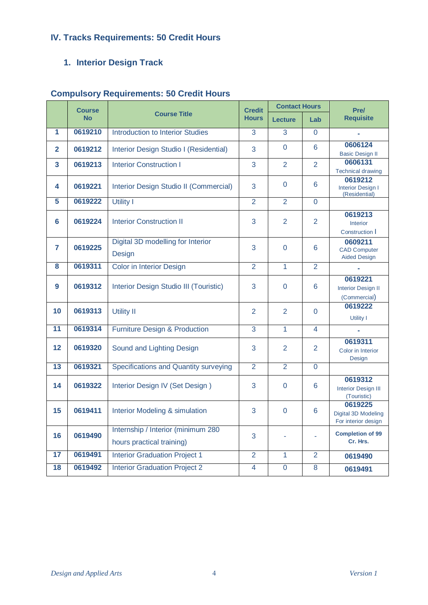# **IV. Tracks Requirements: 50 Credit Hours**

# **1. Interior Design Track**

|                | <b>Course</b> |                                                                 | <b>Credit</b>  | <b>Contact Hours</b> |                         | Pre/                                                  |  |
|----------------|---------------|-----------------------------------------------------------------|----------------|----------------------|-------------------------|-------------------------------------------------------|--|
|                | <b>No</b>     | <b>Course Title</b>                                             | <b>Hours</b>   | <b>Lecture</b>       | Lab                     | <b>Requisite</b>                                      |  |
| 1              | 0619210       | Introduction to Interior Studies                                | 3              | 3                    | $\Omega$                | ÷,                                                    |  |
| $\overline{2}$ | 0619212       | Interior Design Studio I (Residential)                          | 3              | $\overline{0}$       | 6                       | 0606124<br><b>Basic Design II</b>                     |  |
| 3              | 0619213       | <b>Interior Construction I</b>                                  | 3              | 2                    | 2                       | 0606131<br><b>Technical drawing</b>                   |  |
| 4              | 0619221       | Interior Design Studio II (Commercial)                          | 3              | $\Omega$             | 6                       | 0619212<br><b>Interior Design I</b><br>(Residential)  |  |
| 5              | 0619222       | <b>Utility I</b>                                                | $\overline{2}$ | $\overline{2}$       | $\overline{0}$          |                                                       |  |
| 6              | 0619224       | <b>Interior Construction II</b>                                 | 3              | $\overline{2}$       | 2                       | 0619213<br><b>Interior</b><br>Construction I          |  |
| 7              | 0619225       | Digital 3D modelling for Interior<br>Design                     | 3              | $\overline{0}$       | 6                       | 0609211<br><b>CAD Computer</b><br><b>Aided Design</b> |  |
| 8              | 0619311       | <b>Color in Interior Design</b>                                 | $\overline{2}$ | $\mathbf{1}$         | 2                       |                                                       |  |
| 9              | 0619312       | Interior Design Studio III (Touristic)                          | 3              | $\overline{0}$       | 6                       | 0619221<br><b>Interior Design II</b><br>(Commercial)  |  |
| 10             | 0619313       | <b>Utility II</b>                                               | $\overline{2}$ | $\overline{2}$       | $\Omega$                | 0619222<br>Utility I                                  |  |
| 11             | 0619314       | <b>Furniture Design &amp; Production</b>                        | $\overline{3}$ | $\mathbf{1}$         | $\overline{\mathbf{4}}$ |                                                       |  |
| 12             | 0619320       | Sound and Lighting Design                                       | 3              | $\overline{2}$       | 2                       | 0619311<br>Color in Interior<br>Design                |  |
| 13             | 0619321       | Specifications and Quantity surveying                           | $\overline{2}$ | $\overline{2}$       | $\Omega$                |                                                       |  |
| 14             | 0619322       | Interior Design IV (Set Design)                                 | 3              | $\Omega$             | 6                       | 0619312<br><b>Interior Design III</b><br>(Touristic)  |  |
| 15             | 0619411       | Interior Modeling & simulation                                  | 3              | $\overline{0}$       | $6\phantom{1}6$         | 0619225<br>Digital 3D Modeling<br>For interior design |  |
| 16             | 0619490       | Internship / Interior (minimum 280<br>hours practical training) | 3              |                      |                         | <b>Completion of 99</b><br>Cr. Hrs.                   |  |
| 17             | 0619491       | <b>Interior Graduation Project 1</b>                            | $\overline{2}$ | 1                    | $\overline{2}$          | 0619490                                               |  |
| 18             | 0619492       | <b>Interior Graduation Project 2</b>                            | 4              | $\overline{0}$       | 8                       | 0619491                                               |  |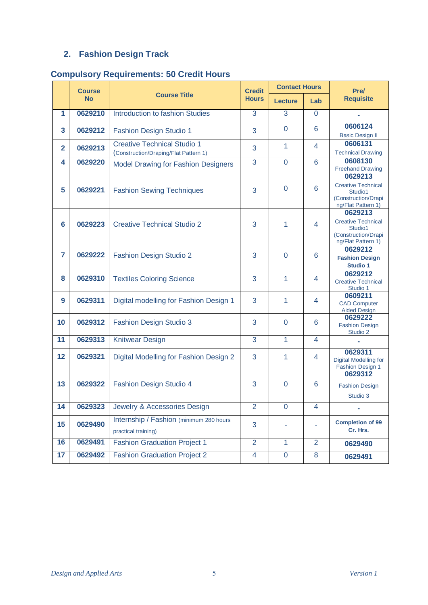# **2. Fashion Design Track**

|              | <b>Course</b> |                                                                             | <b>Credit</b>  | <b>Contact Hours</b> |                | Pre/                                                                                         |
|--------------|---------------|-----------------------------------------------------------------------------|----------------|----------------------|----------------|----------------------------------------------------------------------------------------------|
|              | <b>No</b>     | <b>Course Title</b>                                                         | <b>Hours</b>   | <b>Lecture</b>       | Lab            | <b>Requisite</b>                                                                             |
| 1            | 0629210       | Introduction to fashion Studies                                             | 3              | 3                    | $\overline{0}$ |                                                                                              |
| 3            | 0629212       | <b>Fashion Design Studio 1</b>                                              | 3              | $\Omega$             | 6              | 0606124<br><b>Basic Design II</b>                                                            |
| $\mathbf{2}$ | 0629213       | <b>Creative Technical Studio 1</b><br>(Construction/Draping/Flat Pattern 1) | 3              | 1                    | 4              | 0606131<br><b>Technical Drawing</b>                                                          |
| 4            | 0629220       | <b>Model Drawing for Fashion Designers</b>                                  | 3              | $\Omega$             | 6              | 0608130<br><b>Freehand Drawing</b>                                                           |
| 5            | 0629221       | <b>Fashion Sewing Techniques</b>                                            | 3              | $\Omega$             | 6              | 0629213<br><b>Creative Technical</b><br>Studio1<br>(Construction/Drapi<br>ng/Flat Pattern 1) |
| 6            | 0629223       | <b>Creative Technical Studio 2</b>                                          | 3              | 1                    | 4              | 0629213<br><b>Creative Technical</b><br>Studio1<br>(Construction/Drapi<br>ng/Flat Pattern 1) |
| 7            | 0629222       | <b>Fashion Design Studio 2</b>                                              | 3              | 0                    | 6              | 0629212<br><b>Fashion Design</b><br><b>Studio 1</b>                                          |
| 8            | 0629310       | <b>Textiles Coloring Science</b>                                            | 3              | 1                    | 4              | 0629212<br><b>Creative Technical</b><br>Studio 1                                             |
| 9            | 0629311       | Digital modelling for Fashion Design 1                                      | 3              | 1                    | 4              | 0609211<br><b>CAD Computer</b><br><b>Aided Design</b>                                        |
| 10           | 0629312       | <b>Fashion Design Studio 3</b>                                              | 3              | $\Omega$             | 6              | 0629222<br><b>Fashion Design</b><br>Studio 2                                                 |
| 11           | 0629313       | <b>Knitwear Design</b>                                                      | 3              | $\mathbf{1}$         | 4              |                                                                                              |
| 12           | 0629321       | Digital Modelling for Fashion Design 2                                      | 3              | 1                    | 4              | 0629311<br>Digital Modelling for<br><b>Fashion Design 1</b>                                  |
| 13           | 0629322       | Fashion Design Studio 4                                                     | 3              | 0                    | 6              | 0629312<br><b>Fashion Design</b><br>Studio 3                                                 |
| 14           | 0629323       | Jewelry & Accessories Design                                                | $\overline{2}$ | $\mathbf 0$          | 4              | ۰                                                                                            |
| 15           | 0629490       | Internship / Fashion (minimum 280 hours)<br>practical training)             | 3              |                      |                | <b>Completion of 99</b><br>Cr. Hrs.                                                          |
| 16           | 0629491       | <b>Fashion Graduation Project 1</b>                                         | $\overline{2}$ | $\mathbf{1}$         | $\overline{2}$ | 0629490                                                                                      |
| 17           | 0629492       | <b>Fashion Graduation Project 2</b>                                         | $\overline{4}$ | $\overline{0}$       | 8              | 0629491                                                                                      |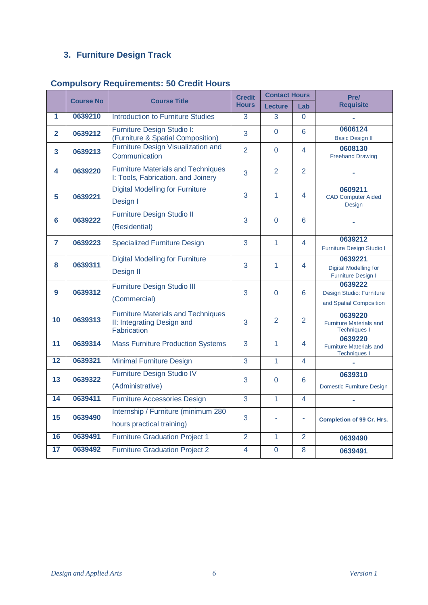# **3. Furniture Design Track**

|                | <b>Course No</b> | <b>Course Title</b>                                                                    | <b>Credit</b>  | <b>Contact Hours</b> |                | Pre/                                                             |
|----------------|------------------|----------------------------------------------------------------------------------------|----------------|----------------------|----------------|------------------------------------------------------------------|
|                |                  |                                                                                        | <b>Hours</b>   | <b>Lecture</b>       | Lab            | <b>Requisite</b>                                                 |
| 1              | 0639210          | <b>Introduction to Furniture Studies</b>                                               | 3              | 3                    | $\Omega$       |                                                                  |
| $\overline{2}$ | 0639212          | Furniture Design Studio I:<br>(Furniture & Spatial Composition)                        | 3              | $\Omega$             | 6              | 0606124<br><b>Basic Design II</b>                                |
| 3              | 0639213          | Furniture Design Visualization and<br>Communication                                    | $\overline{2}$ | $\Omega$             | 4              | 0608130<br><b>Freehand Drawing</b>                               |
| 4              | 0639220          | <b>Furniture Materials and Techniques</b><br>I: Tools, Fabrication. and Joinery        | 3              | $\overline{2}$       | $\overline{2}$ |                                                                  |
| 5              | 0639221          | <b>Digital Modelling for Furniture</b><br>Design I                                     | 3              | $\mathbf{1}$         | 4              | 0609211<br><b>CAD Computer Aided</b><br>Design                   |
| 6              | 0639222          | <b>Furniture Design Studio II</b><br>(Residential)                                     | 3              | $\Omega$             | 6              |                                                                  |
| 7              | 0639223          | <b>Specialized Furniture Design</b>                                                    | 3              | $\mathbf{1}$         | 4              | 0639212<br>Furniture Design Studio I                             |
| 8              | 0639311          | <b>Digital Modelling for Furniture</b><br>Design II                                    | 3              | 1                    | 4              | 0639221<br><b>Digital Modelling for</b><br>Furniture Design I    |
| 9              | 0639312          | Furniture Design Studio III<br>(Commercial)                                            | 3              | $\Omega$             | 6              | 0639222<br>Design Studio: Furniture<br>and Spatial Composition   |
| 10             | 0639313          | <b>Furniture Materials and Techniques</b><br>II: Integrating Design and<br>Fabrication | 3              | $\overline{2}$       | $\overline{2}$ | 0639220<br><b>Furniture Materials and</b><br><b>Techniques I</b> |
| 11             | 0639314          | <b>Mass Furniture Production Systems</b>                                               | 3              | $\mathbf{1}$         | 4              | 0639220<br><b>Furniture Materials and</b><br><b>Techniques I</b> |
| 12             | 0639321          | <b>Minimal Furniture Design</b>                                                        | $\overline{3}$ | $\overline{1}$       | 4              |                                                                  |
| 13             | 0639322          | Furniture Design Studio IV<br>(Administrative)                                         | 3              | $\overline{0}$       | $6\phantom{1}$ | 0639310<br>Domestic Furniture Design                             |
| 14             | 0639411          | <b>Furniture Accessories Design</b>                                                    | $\overline{3}$ | $\mathbf{1}$         | 4              |                                                                  |
| 15             | 0639490          | Internship / Furniture (minimum 280<br>hours practical training)                       | 3              |                      | ä,             | <b>Completion of 99 Cr. Hrs.</b>                                 |
| 16             | 0639491          | <b>Furniture Graduation Project 1</b>                                                  | $\overline{2}$ | $\mathbf{1}$         | $\overline{2}$ | 0639490                                                          |
| 17             | 0639492          | <b>Furniture Graduation Project 2</b>                                                  | 4              | $\overline{0}$       | 8              | 0639491                                                          |